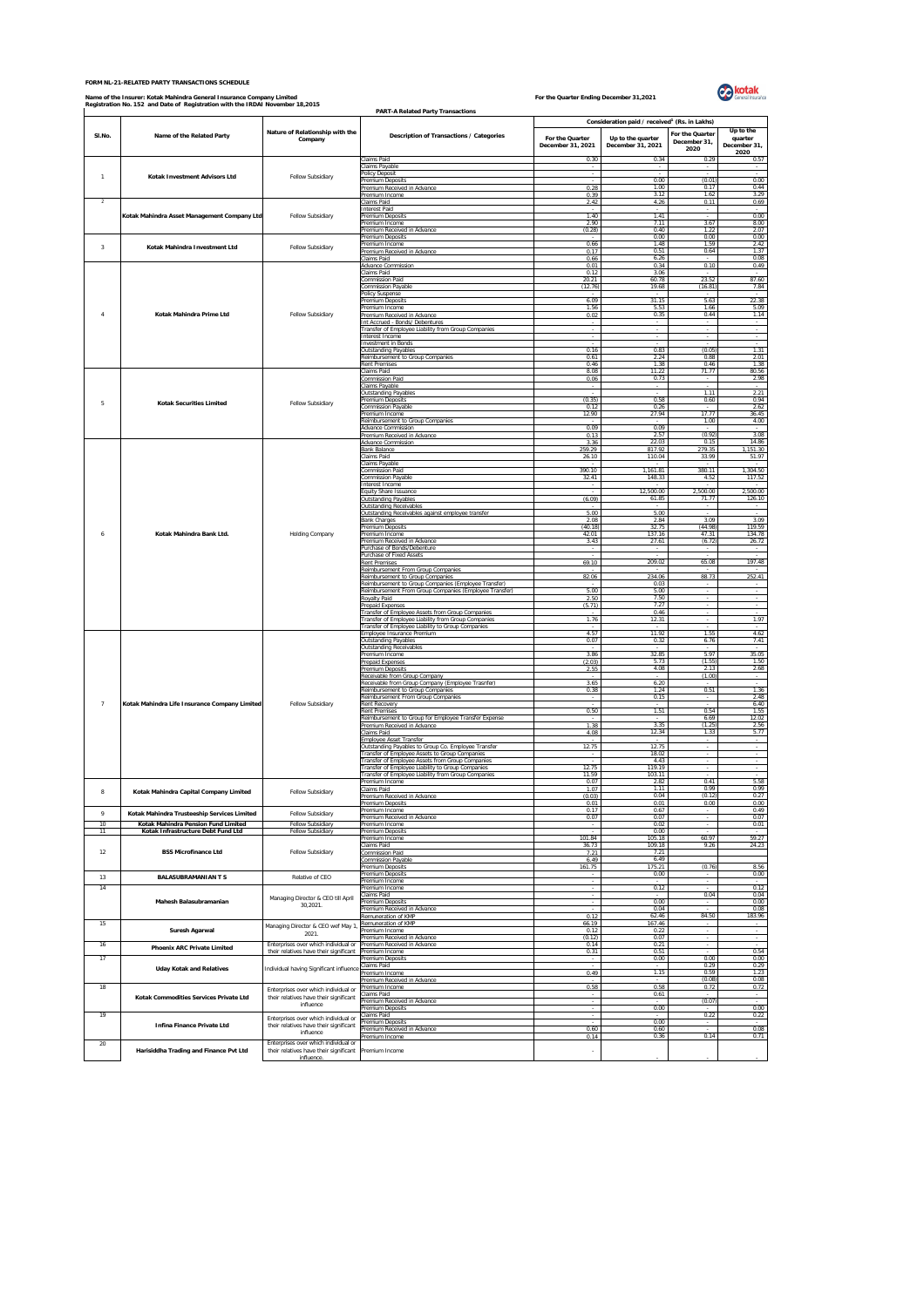## **FORM NL-21-RELATED PARTY TRANSACTIONS SCHEDULE**

## Name of the Insurer: Kotak Mahindra General Insurance Company Limited<br>Registration No. 152 and Date of Registration with the IRDAI November 18,2015



|                         | Registration No. 152 and Date of Registration with the IRDAI November 18,2015 |                                                                                                                                                                               | <b>PART-A Related Party Transactions</b>                                                                 |                   |                                                           |                      |                          |
|-------------------------|-------------------------------------------------------------------------------|-------------------------------------------------------------------------------------------------------------------------------------------------------------------------------|----------------------------------------------------------------------------------------------------------|-------------------|-----------------------------------------------------------|----------------------|--------------------------|
|                         |                                                                               |                                                                                                                                                                               |                                                                                                          |                   | Consideration paid / received <sup>1</sup> (Rs. in Lakhs) |                      |                          |
| SI.No.                  | Name of the Related Party                                                     | Nature of Relationship with the                                                                                                                                               | Description of Transactions / Categories                                                                 | For the Quarter   | Up to the quarter                                         | For the Quarter      | Up to the<br>quarter     |
|                         |                                                                               | Company                                                                                                                                                                       |                                                                                                          | December 31, 2021 | December 31, 2021                                         | December 31,<br>2020 | December 31,             |
|                         |                                                                               |                                                                                                                                                                               | Claims Paid                                                                                              | 0.30              | 0.34                                                      | 0.29                 | 2020<br>0.57             |
| $\overline{1}$          | Kotak Investment Advisors Ltd                                                 | Fellow Subsidiary                                                                                                                                                             | Claims Payable<br>Policy Deposit                                                                         |                   |                                                           |                      |                          |
|                         |                                                                               |                                                                                                                                                                               | Premium Deposits<br>Premium Received in Advance                                                          | $\sim$<br>0.28    | 0.00<br>1.00                                              | (0.01)<br>0.17       | 0.00<br>0.44             |
| $\overline{2}$          |                                                                               |                                                                                                                                                                               | Premium Income<br>Claims Paid                                                                            | 0.39<br>2.42      | 3.12<br>4.26                                              | 1.62<br>0.11         | 3.29<br>0.69             |
|                         |                                                                               |                                                                                                                                                                               | <b>Interest Paid</b>                                                                                     | 1.40              | 1.41                                                      |                      | 0.00                     |
|                         | Kotak Mahindra Asset Management Company Ltd                                   | Fellow Subsidiary                                                                                                                                                             | Premium Deposits<br>Premium Income                                                                       | 2.90              | 7.11                                                      | 3.67                 | 8.00                     |
|                         |                                                                               |                                                                                                                                                                               | Premium Received in Advance<br>Premium Deposits                                                          | (0.28)            | 0.40<br>0.00                                              | 1.22<br>0.00         | 2.07<br>0.00             |
| $\overline{\mathbf{3}}$ | Kotak Mahindra Investment Ltd                                                 | Fellow Subsidiary                                                                                                                                                             | Premium Income<br>Premium Received in Advance                                                            | 0.66<br>0.17      | 1.48<br>0.51                                              | 1.59<br>0.64         | 2.42<br>1.37             |
|                         |                                                                               |                                                                                                                                                                               | Claims Paid<br><b>Advance Commission</b>                                                                 | 0.66<br>0.01      | 6.26<br>0.34                                              | 0.10                 | 0.08<br>0.49             |
|                         |                                                                               | Fellow Subsidiary                                                                                                                                                             | Claims Paid                                                                                              | 0.12              | 3.06                                                      |                      |                          |
|                         |                                                                               |                                                                                                                                                                               | <b>Commission Paid</b><br>Commission Payable                                                             | 20.21<br>(12.76)  | 60.78<br>19.68                                            | 23.52<br>(16.81)     | 87.60<br>7.84            |
|                         | Kotak Mahindra Prime Ltd                                                      |                                                                                                                                                                               | Policy Suspense<br>Premium Deposits                                                                      | 6.09              | 31.15                                                     | 5.63                 | 22.38                    |
| 4                       |                                                                               |                                                                                                                                                                               | Premium Income<br>Premium Received in Advance                                                            | 1.56<br>0.02      | 5.53<br>0.35                                              | 1.66<br>0.44         | 5.09<br>1.14             |
|                         |                                                                               |                                                                                                                                                                               | Int Accrued - Bonds/ Debentures                                                                          |                   |                                                           |                      |                          |
|                         |                                                                               |                                                                                                                                                                               | Transfer of Employee Liability from Group Companies<br>Interest Income                                   |                   |                                                           |                      |                          |
|                         |                                                                               |                                                                                                                                                                               | <b>Investment in Bonds</b><br><b>Outstanding Payables</b>                                                | 0.16              | 0.83                                                      | (0.05)               | 1.31                     |
|                         |                                                                               |                                                                                                                                                                               | Reimbursement to Group Companies<br><b>Rent Premise:</b>                                                 | 0.61<br>0.46      | 2.24<br>1.38                                              | 0.88<br>0.46         | 2.01<br>1.38             |
|                         |                                                                               |                                                                                                                                                                               | <b>Claims Paid</b>                                                                                       | 8.08              | 11.22                                                     | 71.77                | 80.56                    |
|                         | <b>Kotak Securities Limited</b>                                               |                                                                                                                                                                               | Commission Paid<br>Claims Payable                                                                        | 0.06              | 0.73                                                      | $\sim$               | 2.98                     |
|                         |                                                                               | Fellow Subsidiary                                                                                                                                                             | <b>Outstanding Payable</b><br>Premium Deposits                                                           | (0.35)            | 0.58                                                      | 1.11<br>0.60         | 2.21<br>0.94             |
| 5                       |                                                                               |                                                                                                                                                                               | <b>Commission Payable</b><br>Premium Income                                                              | 0.12<br>12.90     | 0.26<br>27.94                                             | 17.77                | 2.62<br>36.45            |
|                         |                                                                               |                                                                                                                                                                               | Reimbursement to Group Companies                                                                         |                   |                                                           | 1.00                 | 4.00                     |
|                         |                                                                               |                                                                                                                                                                               | <b>Advance Commission</b><br>Premium Received in Advance                                                 | 0.09<br>0.13      | 0.09<br>2.57                                              | (0.92)               | 3.08                     |
|                         |                                                                               | Holding Company                                                                                                                                                               | <b>Advance Commission</b><br><b>Bank Balance</b>                                                         | 3.36<br>259.29    | 22.03<br>817.92                                           | 0.15<br>279.35       | 14.86<br>1,151.30        |
|                         |                                                                               |                                                                                                                                                                               | Claims Paid<br>Claims Payable                                                                            | 26.10             | 110.04                                                    | 33.99                | 51.97                    |
|                         |                                                                               |                                                                                                                                                                               | <b>Commission Paid</b>                                                                                   | 390.10            | 1,161.81                                                  | 380.11               | 1,304.50                 |
|                         |                                                                               |                                                                                                                                                                               | <b>Commission Payable</b><br>Interest Income                                                             | 32.41             | 148.33                                                    | 4.52                 | 117.52                   |
|                         |                                                                               |                                                                                                                                                                               | <b>Equity Share Issuance</b><br><b>Outstanding Payables</b>                                              | (6.09)            | 12.500.00<br>61.85                                        | 2.500.00<br>71.77    | 2.500.00<br>126.10       |
|                         | Kotak Mahindra Bank Ltd.                                                      |                                                                                                                                                                               | Outstanding Receivables<br>Outstanding Receivables against employee transfer                             | 5.00              | 5.00                                                      |                      |                          |
|                         |                                                                               |                                                                                                                                                                               | <b>Bank Charges</b>                                                                                      | 2.08              | 2.84<br>32.75                                             | 3.09<br>(44.98)      | 3.09<br>119.59           |
| 6                       |                                                                               |                                                                                                                                                                               | Premium Deposits<br>Premium Income                                                                       | (40.18)<br>42.01  | 137.16                                                    | 47.31                | 134.78                   |
|                         |                                                                               |                                                                                                                                                                               | Premium Received in Advance<br>Purchase of Bonds/Debenture                                               | 3.43              | 27.61                                                     | (6.72)               | 26.72                    |
|                         |                                                                               |                                                                                                                                                                               | Purchase of Fixed Assets<br><b>Rent Premises</b>                                                         | 69.10             | 209.02                                                    | 65.08                | 197.48                   |
|                         |                                                                               |                                                                                                                                                                               | Reimbursement From Group Companies                                                                       |                   | 234.06                                                    | 88.73                | 252.41                   |
|                         |                                                                               |                                                                                                                                                                               | Reimbursement to Group Companies<br>Reimbursement to Group Companies (Employee Transfer)                 | 82.06             | 0.03                                                      |                      |                          |
|                         |                                                                               |                                                                                                                                                                               | Reimbursement From Group Companies (Employee Transfer)<br>Royalty Paid                                   | 5.00<br>2.50      | 5.00<br>7.50                                              | $\epsilon$           |                          |
|                         |                                                                               |                                                                                                                                                                               | Prepaid Expenses<br>Transfer of Employee Assets from Group Companies                                     | (5.71)            | 7.27<br>0.46                                              |                      |                          |
|                         |                                                                               |                                                                                                                                                                               | Transfer of Employee Liability from Group Companies                                                      | 1.76              | 12.31                                                     |                      | 1.97                     |
|                         |                                                                               |                                                                                                                                                                               | Transfer of Employee Liability to Group Companies<br>Employee Insurance Premium                          | 4.57              | 11.92                                                     | 1.55                 | 4.62                     |
|                         |                                                                               |                                                                                                                                                                               | Outstanding Pavable<br><b>Outstanding Receivables</b>                                                    | 0.07              | 0.32                                                      | 6.76                 | 7.41                     |
|                         |                                                                               |                                                                                                                                                                               | Premium Income<br><b>Prepaid Expenses</b>                                                                | 3.86<br>(2.03)    | 32.85<br>5.73                                             | 5.97<br>(1.55)       | 35.05<br>1.50            |
|                         |                                                                               |                                                                                                                                                                               | Premium Deposits<br>Receivable from Group Company                                                        | 2.55              | 4.08                                                      | 2.13<br>(1.00)       | 2.68                     |
|                         |                                                                               |                                                                                                                                                                               | Receivable from Group Company (Employee Trasnfer)                                                        | 3.65              | 6.20                                                      | 0.51                 | 1.36                     |
|                         |                                                                               |                                                                                                                                                                               | Reimbursement to Group Companies<br>Reimbursement From Group Companies                                   | 0.38              | 1.24<br>0.15                                              |                      | 2.48                     |
| $\overline{7}$          | Kotak Mahindra Life Insurance Company Limited                                 | Fellow Subsidiary                                                                                                                                                             | Rent Recovery<br><b>Rent Premises</b>                                                                    | 0.50              | 1.51                                                      | 0.54                 | 6.40<br>1.55             |
|                         |                                                                               |                                                                                                                                                                               | Reimbursement to Group for Employee Transfer Expense<br>Premium Received in Advance                      | 1.38              | 3.35                                                      | 6.69<br>(1.25)       | 12.02<br>2.56            |
|                         |                                                                               |                                                                                                                                                                               | Claims Paid                                                                                              | 4.08              | 12.34                                                     | 1.33                 | 5.77                     |
|                         |                                                                               |                                                                                                                                                                               | <b>Employee Asset Transfer</b><br>Outstanding Payables to Group Co. Employee Transfer                    | 12.75             | 12.75                                                     | $\sim$               |                          |
|                         |                                                                               |                                                                                                                                                                               | Transfer of Employee Assets to Group Companies<br>Transfer of Employee Assets from Group Companies       |                   | 18.02<br>4.43                                             |                      |                          |
|                         |                                                                               |                                                                                                                                                                               | Transfer of Employee Liability to Group Companies<br>Fransfer of Employee Liability from Group Companies | 12.75<br>11.59    | 119.19<br>103.11                                          |                      |                          |
|                         |                                                                               |                                                                                                                                                                               | Premium Income                                                                                           | 0.07              | 2.82<br>1.11                                              | 0.41<br>0.99         | 5.58<br>0.99             |
| 8                       | Kotak Mahindra Capital Company Limited                                        | Fellow Subsidiary                                                                                                                                                             | Claims Paid<br>Premium Received in Advance                                                               | 1.07<br>(0.03)    | 0.04                                                      | (0.12)               | 0.27                     |
| 9                       | Kotak Mahindra Trusteeship Services Limited                                   | Fellow Subsidiary                                                                                                                                                             | Premium Deposits<br>Premium Income                                                                       | 0.01<br>0.17      | 0.01<br>0.67                                              | 0.00                 | 0.00<br>0.49             |
| 10                      | Kotak Mahindra Pension Fund Limited                                           | Fellow Subsidiary                                                                                                                                                             | Premium Received in Advance<br>Premium Income                                                            | 0.07              | 0.07<br>0.02                                              |                      | 0.07<br>0.01             |
| 11                      | Kotak Infrastructure Debt Fund Ltd                                            | Fellow Subsidiary                                                                                                                                                             | Premium Deposits<br>Premium Incom                                                                        | 101.84            | 0.00<br>105.18                                            | 60.97                | 59.27                    |
| 12                      | <b>BSS Microfinance Ltd</b>                                                   |                                                                                                                                                                               | Claims Paid                                                                                              | 36.73             | 109.18                                                    | 9.26                 | 24.23                    |
|                         |                                                                               | Fellow Subsidiary                                                                                                                                                             | <b>Commission Paid</b><br><b>Commission Pavable</b>                                                      | 7.21<br>6.49      | 7.21<br>6.49                                              |                      |                          |
| $13\,$                  | <b>BALASUBRAMANIAN T S</b>                                                    | Relative of CEO                                                                                                                                                               | Premium Deposits<br>Premium Deposits                                                                     | 161.75            | 175.21<br>0.00                                            | (0.76)               | 8.56<br>0.00             |
| 14                      |                                                                               |                                                                                                                                                                               | Premium Income<br>Premium Income                                                                         |                   | 0.12                                                      |                      | 0.12                     |
|                         | Mahesh Balasubramanian                                                        | Managing Director & CEO till April                                                                                                                                            | Claims Paid<br>Premium Deposits                                                                          | $\sim$            | 0.00                                                      | 0.04                 | 0.04<br>0.00             |
|                         |                                                                               | 30,2021.                                                                                                                                                                      | Premium Received in Advance                                                                              |                   | 0.04                                                      |                      | 0.08                     |
| 15                      |                                                                               | Managing Director & CEO wef May 1,                                                                                                                                            | Remuneration of KMP<br>Remuneration of KMP                                                               | 0.12<br>66.19     | 62.46<br>167.46                                           | 84.50                | 183.96                   |
|                         | Suresh Agarwal                                                                | 2021.                                                                                                                                                                         | Premium Income<br>Premium Received in Advance                                                            | 0.12<br>(0.12)    | 0.22<br>0.07                                              | $\sim$               | $\sim 10^{-1}$<br>$\sim$ |
| 16                      | <b>Phoenix ARC Private Limited</b>                                            | Enterprises over which individual or<br>their relatives have their significant                                                                                                | Premium Received in Advance<br>Premium Income                                                            | 0.14<br>0.31      | 0.21<br>0.51                                              |                      | 0.54                     |
| 17                      |                                                                               |                                                                                                                                                                               | Premium Deposits                                                                                         |                   | 0.00                                                      | 0.00<br>0.29         | 0.00<br>0.29             |
|                         | <b>Uday Kotak and Relatives</b>                                               | Individual having Significant influence                                                                                                                                       | Claims Paid<br>Premium Income                                                                            | 0.49              | 1.15                                                      | 0.59                 | 1.23                     |
| 18                      | Kotak Commodities Services Private Ltd<br><b>Infina Finance Private Ltd</b>   | Enterprises over which individual or<br>their relatives have their significant<br>influence<br>Enterprises over which individual or<br>their relatives have their significant | Premium Received in Advance<br>Premium Income                                                            | 0.58              | 0.58                                                      | (0.08)<br>0.72       | 0.08<br>0.72             |
|                         |                                                                               |                                                                                                                                                                               | Claims Paid<br>Premium Received in Advance                                                               |                   | 0.61                                                      | (0.07)               |                          |
| 19                      |                                                                               |                                                                                                                                                                               | Premium Deposits<br>Claims Paid                                                                          |                   | 0.00                                                      | 0.22                 | 0.00<br>0.22             |
|                         |                                                                               |                                                                                                                                                                               | <b>Premium Deposits</b>                                                                                  |                   | 0.00                                                      |                      |                          |
|                         |                                                                               | influence                                                                                                                                                                     | Premium Received in Advance<br>Premium Income                                                            | 0.60<br>0.14      | 0.60<br>0.36                                              | 0.14                 | 0.08<br>0.71             |
| 20                      | Harisiddha Trading and Finance Pvt Ltd                                        | Enterprises over which individual or<br>their relatives have their significant                                                                                                | Premium Income                                                                                           | ×,                |                                                           |                      |                          |
|                         |                                                                               | influer                                                                                                                                                                       |                                                                                                          |                   |                                                           |                      |                          |